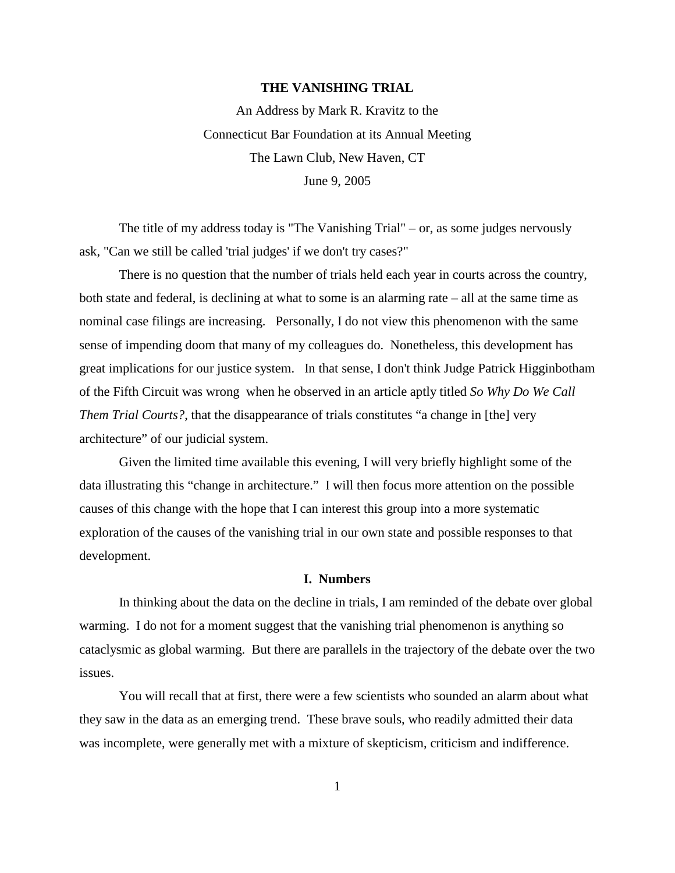#### **THE VANISHING TRIAL**

An Address by Mark R. Kravitz to the Connecticut Bar Foundation at its Annual Meeting The Lawn Club, New Haven, CT June 9, 2005

The title of my address today is "The Vanishing Trial" – or, as some judges nervously ask, "Can we still be called 'trial judges' if we don't try cases?"

There is no question that the number of trials held each year in courts across the country, both state and federal, is declining at what to some is an alarming rate – all at the same time as nominal case filings are increasing. Personally, I do not view this phenomenon with the same sense of impending doom that many of my colleagues do. Nonetheless, this development has great implications for our justice system. In that sense, I don't think Judge Patrick Higginbotham of the Fifth Circuit was wrong when he observed in an article aptly titled *So Why Do We Call Them Trial Courts?*, that the disappearance of trials constitutes "a change in [the] very architecture" of our judicial system.

Given the limited time available this evening, I will very briefly highlight some of the data illustrating this "change in architecture." I will then focus more attention on the possible causes of this change with the hope that I can interest this group into a more systematic exploration of the causes of the vanishing trial in our own state and possible responses to that development.

#### **I. Numbers**

In thinking about the data on the decline in trials, I am reminded of the debate over global warming. I do not for a moment suggest that the vanishing trial phenomenon is anything so cataclysmic as global warming. But there are parallels in the trajectory of the debate over the two issues.

You will recall that at first, there were a few scientists who sounded an alarm about what they saw in the data as an emerging trend. These brave souls, who readily admitted their data was incomplete, were generally met with a mixture of skepticism, criticism and indifference.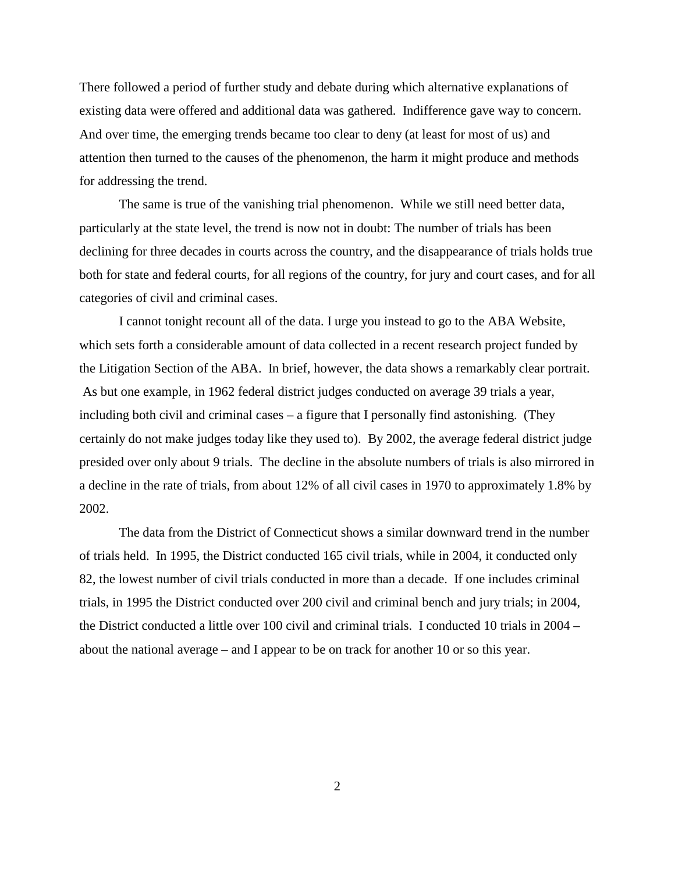There followed a period of further study and debate during which alternative explanations of existing data were offered and additional data was gathered. Indifference gave way to concern. And over time, the emerging trends became too clear to deny (at least for most of us) and attention then turned to the causes of the phenomenon, the harm it might produce and methods for addressing the trend.

The same is true of the vanishing trial phenomenon. While we still need better data, particularly at the state level, the trend is now not in doubt: The number of trials has been declining for three decades in courts across the country, and the disappearance of trials holds true both for state and federal courts, for all regions of the country, for jury and court cases, and for all categories of civil and criminal cases.

I cannot tonight recount all of the data. I urge you instead to go to the ABA Website, which sets forth a considerable amount of data collected in a recent research project funded by the Litigation Section of the ABA. In brief, however, the data shows a remarkably clear portrait. As but one example, in 1962 federal district judges conducted on average 39 trials a year, including both civil and criminal cases – a figure that I personally find astonishing. (They certainly do not make judges today like they used to). By 2002, the average federal district judge presided over only about 9 trials. The decline in the absolute numbers of trials is also mirrored in a decline in the rate of trials, from about 12% of all civil cases in 1970 to approximately 1.8% by 2002.

The data from the District of Connecticut shows a similar downward trend in the number of trials held. In 1995, the District conducted 165 civil trials, while in 2004, it conducted only 82, the lowest number of civil trials conducted in more than a decade. If one includes criminal trials, in 1995 the District conducted over 200 civil and criminal bench and jury trials; in 2004, the District conducted a little over 100 civil and criminal trials. I conducted 10 trials in 2004 – about the national average – and I appear to be on track for another 10 or so this year.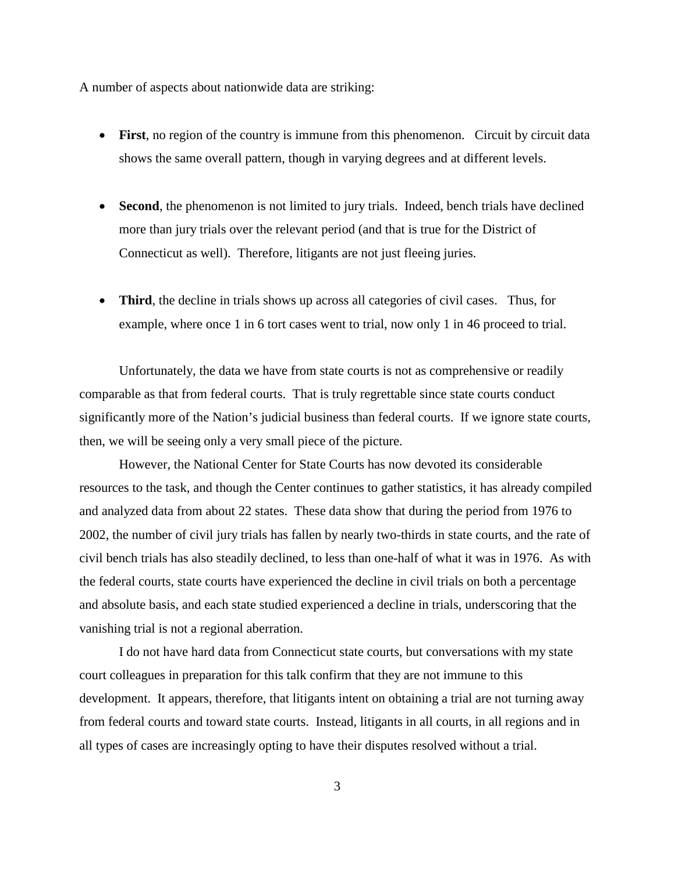A number of aspects about nationwide data are striking:

- First, no region of the country is immune from this phenomenon. Circuit by circuit data shows the same overall pattern, though in varying degrees and at different levels.
- **Second**, the phenomenon is not limited to jury trials. Indeed, bench trials have declined more than jury trials over the relevant period (and that is true for the District of Connecticut as well). Therefore, litigants are not just fleeing juries.
- **Third**, the decline in trials shows up across all categories of civil cases. Thus, for example, where once 1 in 6 tort cases went to trial, now only 1 in 46 proceed to trial.

Unfortunately, the data we have from state courts is not as comprehensive or readily comparable as that from federal courts. That is truly regrettable since state courts conduct significantly more of the Nation's judicial business than federal courts. If we ignore state courts, then, we will be seeing only a very small piece of the picture.

However, the National Center for State Courts has now devoted its considerable resources to the task, and though the Center continues to gather statistics, it has already compiled and analyzed data from about 22 states. These data show that during the period from 1976 to 2002, the number of civil jury trials has fallen by nearly two-thirds in state courts, and the rate of civil bench trials has also steadily declined, to less than one-half of what it was in 1976. As with the federal courts, state courts have experienced the decline in civil trials on both a percentage and absolute basis, and each state studied experienced a decline in trials, underscoring that the vanishing trial is not a regional aberration.

I do not have hard data from Connecticut state courts, but conversations with my state court colleagues in preparation for this talk confirm that they are not immune to this development. It appears, therefore, that litigants intent on obtaining a trial are not turning away from federal courts and toward state courts. Instead, litigants in all courts, in all regions and in all types of cases are increasingly opting to have their disputes resolved without a trial.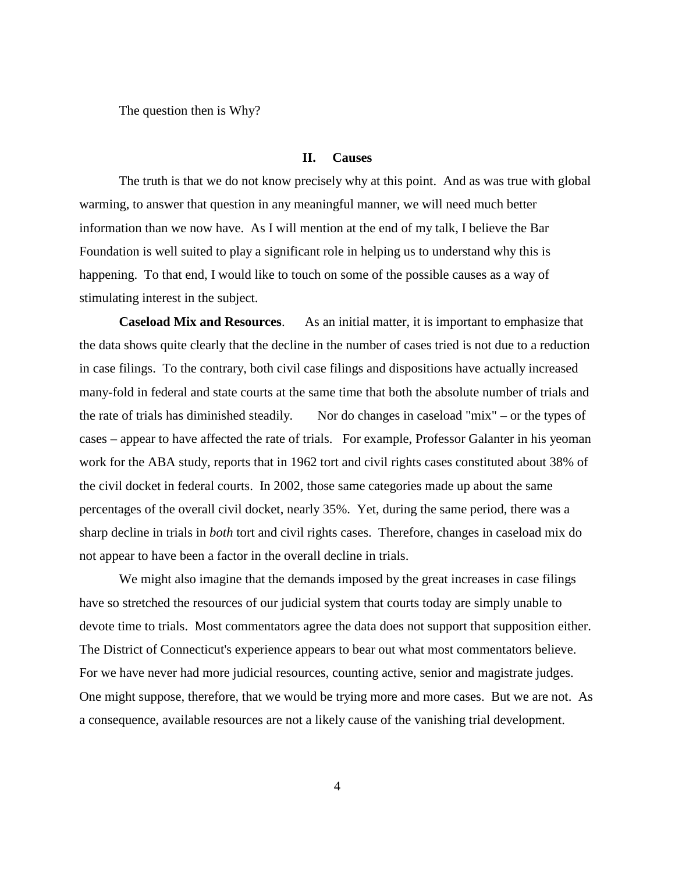The question then is Why?

#### **II. Causes**

The truth is that we do not know precisely why at this point. And as was true with global warming, to answer that question in any meaningful manner, we will need much better information than we now have. As I will mention at the end of my talk, I believe the Bar Foundation is well suited to play a significant role in helping us to understand why this is happening. To that end, I would like to touch on some of the possible causes as a way of stimulating interest in the subject.

**Caseload Mix and Resources**. As an initial matter, it is important to emphasize that the data shows quite clearly that the decline in the number of cases tried is not due to a reduction in case filings. To the contrary, both civil case filings and dispositions have actually increased many-fold in federal and state courts at the same time that both the absolute number of trials and the rate of trials has diminished steadily. Nor do changes in caseload "mix" – or the types of cases – appear to have affected the rate of trials. For example, Professor Galanter in his yeoman work for the ABA study, reports that in 1962 tort and civil rights cases constituted about 38% of the civil docket in federal courts. In 2002, those same categories made up about the same percentages of the overall civil docket, nearly 35%. Yet, during the same period, there was a sharp decline in trials in *both* tort and civil rights cases. Therefore, changes in caseload mix do not appear to have been a factor in the overall decline in trials.

We might also imagine that the demands imposed by the great increases in case filings have so stretched the resources of our judicial system that courts today are simply unable to devote time to trials. Most commentators agree the data does not support that supposition either. The District of Connecticut's experience appears to bear out what most commentators believe. For we have never had more judicial resources, counting active, senior and magistrate judges. One might suppose, therefore, that we would be trying more and more cases. But we are not. As a consequence, available resources are not a likely cause of the vanishing trial development.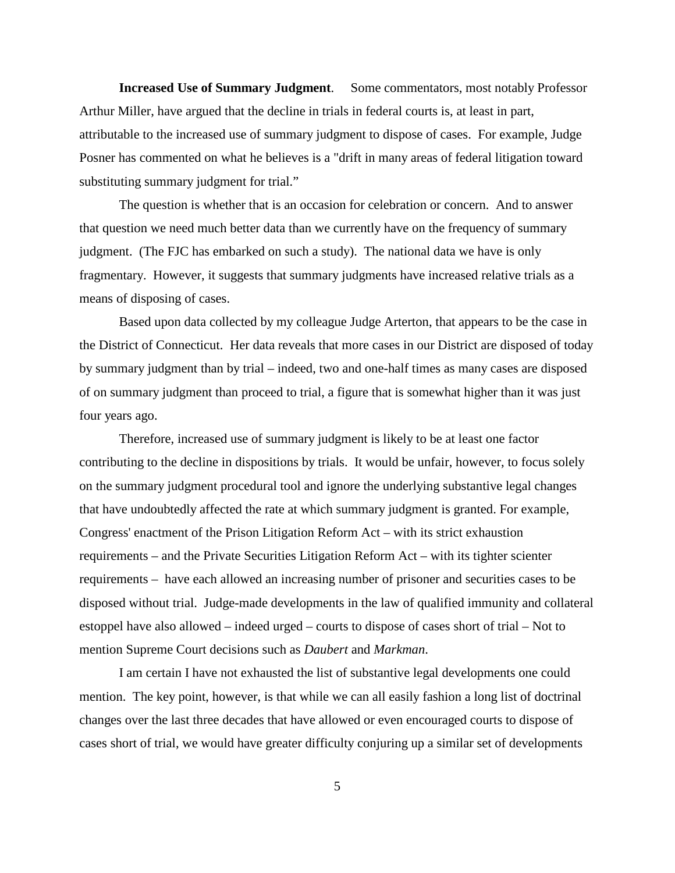**Increased Use of Summary Judgment**. Some commentators, most notably Professor Arthur Miller, have argued that the decline in trials in federal courts is, at least in part, attributable to the increased use of summary judgment to dispose of cases. For example, Judge Posner has commented on what he believes is a "drift in many areas of federal litigation toward substituting summary judgment for trial."

The question is whether that is an occasion for celebration or concern. And to answer that question we need much better data than we currently have on the frequency of summary judgment. (The FJC has embarked on such a study). The national data we have is only fragmentary. However, it suggests that summary judgments have increased relative trials as a means of disposing of cases.

Based upon data collected by my colleague Judge Arterton, that appears to be the case in the District of Connecticut. Her data reveals that more cases in our District are disposed of today by summary judgment than by trial – indeed, two and one-half times as many cases are disposed of on summary judgment than proceed to trial, a figure that is somewhat higher than it was just four years ago.

Therefore, increased use of summary judgment is likely to be at least one factor contributing to the decline in dispositions by trials. It would be unfair, however, to focus solely on the summary judgment procedural tool and ignore the underlying substantive legal changes that have undoubtedly affected the rate at which summary judgment is granted. For example, Congress' enactment of the Prison Litigation Reform Act – with its strict exhaustion requirements – and the Private Securities Litigation Reform Act – with its tighter scienter requirements – have each allowed an increasing number of prisoner and securities cases to be disposed without trial. Judge-made developments in the law of qualified immunity and collateral estoppel have also allowed – indeed urged – courts to dispose of cases short of trial – Not to mention Supreme Court decisions such as *Daubert* and *Markman*.

I am certain I have not exhausted the list of substantive legal developments one could mention. The key point, however, is that while we can all easily fashion a long list of doctrinal changes over the last three decades that have allowed or even encouraged courts to dispose of cases short of trial, we would have greater difficulty conjuring up a similar set of developments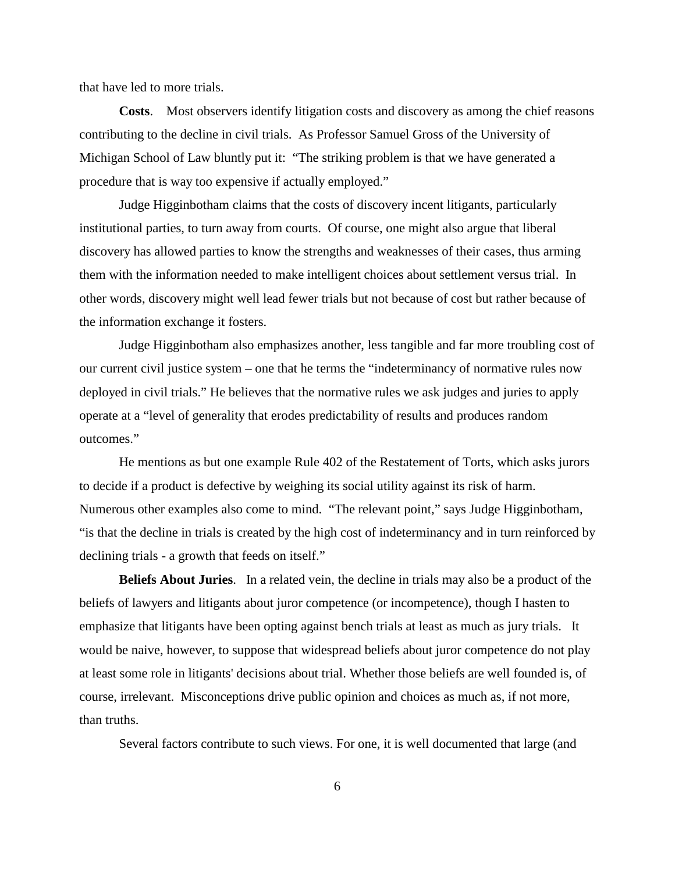that have led to more trials.

**Costs**. Most observers identify litigation costs and discovery as among the chief reasons contributing to the decline in civil trials. As Professor Samuel Gross of the University of Michigan School of Law bluntly put it: "The striking problem is that we have generated a procedure that is way too expensive if actually employed."

Judge Higginbotham claims that the costs of discovery incent litigants, particularly institutional parties, to turn away from courts. Of course, one might also argue that liberal discovery has allowed parties to know the strengths and weaknesses of their cases, thus arming them with the information needed to make intelligent choices about settlement versus trial. In other words, discovery might well lead fewer trials but not because of cost but rather because of the information exchange it fosters.

Judge Higginbotham also emphasizes another, less tangible and far more troubling cost of our current civil justice system – one that he terms the "indeterminancy of normative rules now deployed in civil trials." He believes that the normative rules we ask judges and juries to apply operate at a "level of generality that erodes predictability of results and produces random outcomes."

He mentions as but one example Rule 402 of the Restatement of Torts, which asks jurors to decide if a product is defective by weighing its social utility against its risk of harm. Numerous other examples also come to mind. "The relevant point," says Judge Higginbotham, "is that the decline in trials is created by the high cost of indeterminancy and in turn reinforced by declining trials - a growth that feeds on itself."

**Beliefs About Juries**. In a related vein, the decline in trials may also be a product of the beliefs of lawyers and litigants about juror competence (or incompetence), though I hasten to emphasize that litigants have been opting against bench trials at least as much as jury trials. It would be naive, however, to suppose that widespread beliefs about juror competence do not play at least some role in litigants' decisions about trial. Whether those beliefs are well founded is, of course, irrelevant. Misconceptions drive public opinion and choices as much as, if not more, than truths.

Several factors contribute to such views. For one, it is well documented that large (and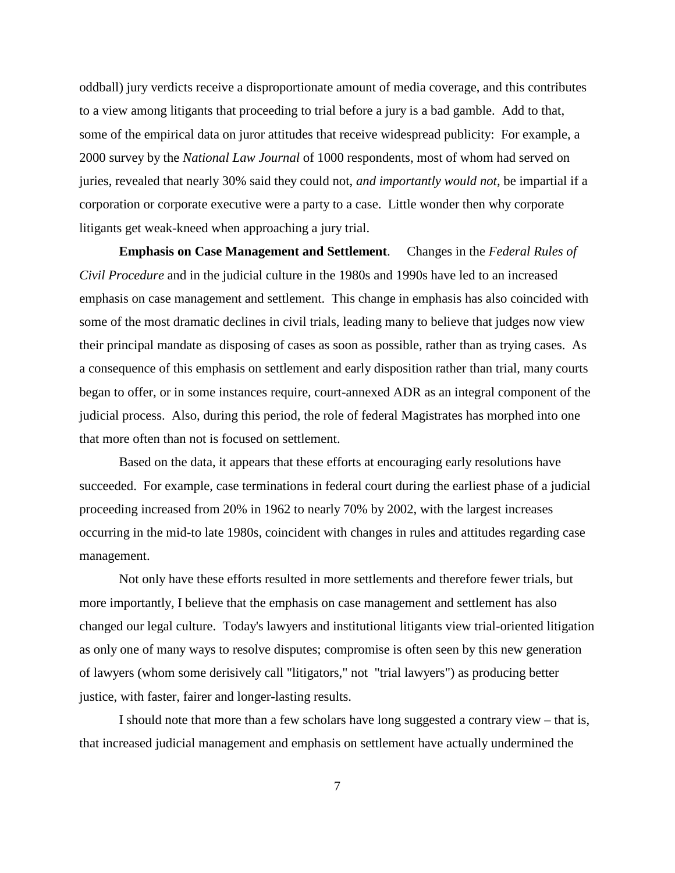oddball) jury verdicts receive a disproportionate amount of media coverage, and this contributes to a view among litigants that proceeding to trial before a jury is a bad gamble. Add to that, some of the empirical data on juror attitudes that receive widespread publicity: For example, a 2000 survey by the *National Law Journal* of 1000 respondents, most of whom had served on juries, revealed that nearly 30% said they could not, *and importantly would not*, be impartial if a corporation or corporate executive were a party to a case. Little wonder then why corporate litigants get weak-kneed when approaching a jury trial.

**Emphasis on Case Management and Settlement**. Changes in the *Federal Rules of Civil Procedure* and in the judicial culture in the 1980s and 1990s have led to an increased emphasis on case management and settlement. This change in emphasis has also coincided with some of the most dramatic declines in civil trials, leading many to believe that judges now view their principal mandate as disposing of cases as soon as possible, rather than as trying cases. As a consequence of this emphasis on settlement and early disposition rather than trial, many courts began to offer, or in some instances require, court-annexed ADR as an integral component of the judicial process. Also, during this period, the role of federal Magistrates has morphed into one that more often than not is focused on settlement.

Based on the data, it appears that these efforts at encouraging early resolutions have succeeded. For example, case terminations in federal court during the earliest phase of a judicial proceeding increased from 20% in 1962 to nearly 70% by 2002, with the largest increases occurring in the mid-to late 1980s, coincident with changes in rules and attitudes regarding case management.

Not only have these efforts resulted in more settlements and therefore fewer trials, but more importantly, I believe that the emphasis on case management and settlement has also changed our legal culture. Today's lawyers and institutional litigants view trial-oriented litigation as only one of many ways to resolve disputes; compromise is often seen by this new generation of lawyers (whom some derisively call "litigators," not "trial lawyers") as producing better justice, with faster, fairer and longer-lasting results.

I should note that more than a few scholars have long suggested a contrary view – that is, that increased judicial management and emphasis on settlement have actually undermined the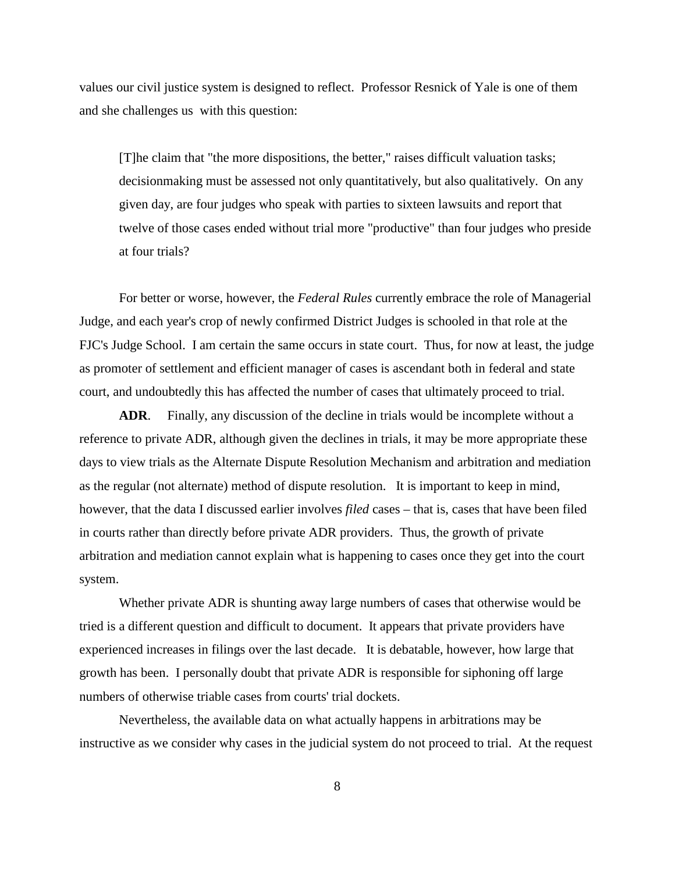values our civil justice system is designed to reflect. Professor Resnick of Yale is one of them and she challenges us with this question:

[T]he claim that "the more dispositions, the better," raises difficult valuation tasks; decisionmaking must be assessed not only quantitatively, but also qualitatively. On any given day, are four judges who speak with parties to sixteen lawsuits and report that twelve of those cases ended without trial more "productive" than four judges who preside at four trials?

For better or worse, however, the *Federal Rules* currently embrace the role of Managerial Judge, and each year's crop of newly confirmed District Judges is schooled in that role at the FJC's Judge School. I am certain the same occurs in state court. Thus, for now at least, the judge as promoter of settlement and efficient manager of cases is ascendant both in federal and state court, and undoubtedly this has affected the number of cases that ultimately proceed to trial.

**ADR**. Finally, any discussion of the decline in trials would be incomplete without a reference to private ADR, although given the declines in trials, it may be more appropriate these days to view trials as the Alternate Dispute Resolution Mechanism and arbitration and mediation as the regular (not alternate) method of dispute resolution. It is important to keep in mind, however, that the data I discussed earlier involves *filed* cases – that is, cases that have been filed in courts rather than directly before private ADR providers. Thus, the growth of private arbitration and mediation cannot explain what is happening to cases once they get into the court system.

Whether private ADR is shunting away large numbers of cases that otherwise would be tried is a different question and difficult to document. It appears that private providers have experienced increases in filings over the last decade. It is debatable, however, how large that growth has been. I personally doubt that private ADR is responsible for siphoning off large numbers of otherwise triable cases from courts' trial dockets.

Nevertheless, the available data on what actually happens in arbitrations may be instructive as we consider why cases in the judicial system do not proceed to trial. At the request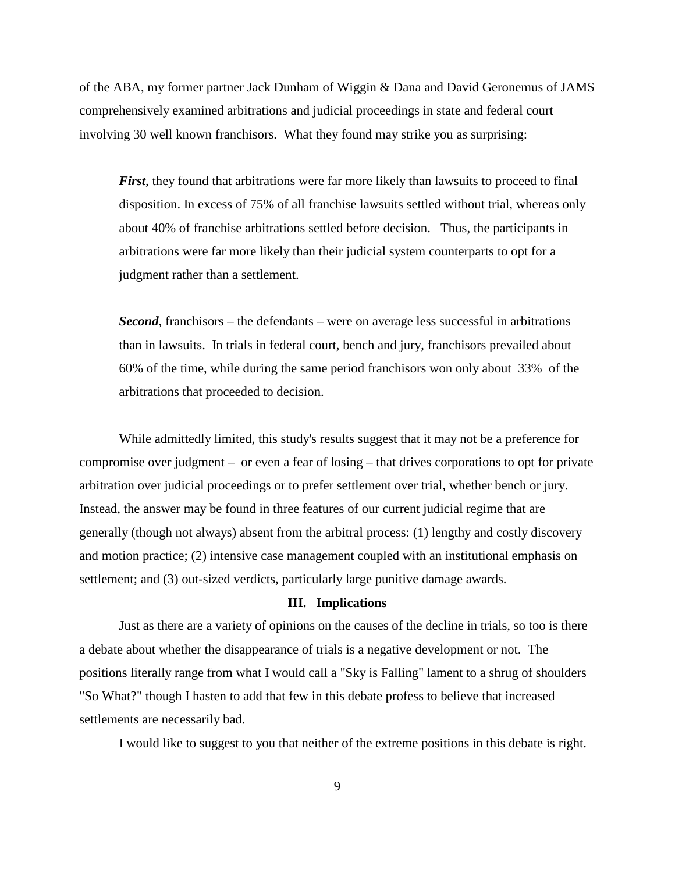of the ABA, my former partner Jack Dunham of Wiggin & Dana and David Geronemus of JAMS comprehensively examined arbitrations and judicial proceedings in state and federal court involving 30 well known franchisors. What they found may strike you as surprising:

*First*, they found that arbitrations were far more likely than lawsuits to proceed to final disposition. In excess of 75% of all franchise lawsuits settled without trial, whereas only about 40% of franchise arbitrations settled before decision. Thus, the participants in arbitrations were far more likely than their judicial system counterparts to opt for a judgment rather than a settlement.

*Second*, franchisors – the defendants – were on average less successful in arbitrations than in lawsuits. In trials in federal court, bench and jury, franchisors prevailed about 60% of the time, while during the same period franchisors won only about 33% of the arbitrations that proceeded to decision.

While admittedly limited, this study's results suggest that it may not be a preference for compromise over judgment – or even a fear of losing – that drives corporations to opt for private arbitration over judicial proceedings or to prefer settlement over trial, whether bench or jury. Instead, the answer may be found in three features of our current judicial regime that are generally (though not always) absent from the arbitral process: (1) lengthy and costly discovery and motion practice; (2) intensive case management coupled with an institutional emphasis on settlement; and (3) out-sized verdicts, particularly large punitive damage awards.

#### **III. Implications**

Just as there are a variety of opinions on the causes of the decline in trials, so too is there a debate about whether the disappearance of trials is a negative development or not. The positions literally range from what I would call a "Sky is Falling" lament to a shrug of shoulders "So What?" though I hasten to add that few in this debate profess to believe that increased settlements are necessarily bad.

I would like to suggest to you that neither of the extreme positions in this debate is right.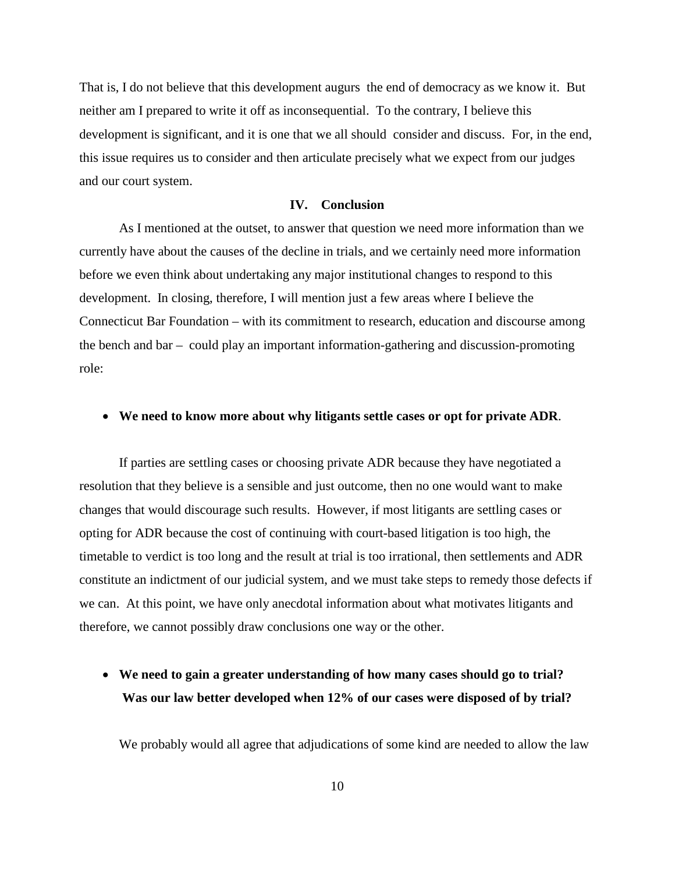That is, I do not believe that this development augurs the end of democracy as we know it. But neither am I prepared to write it off as inconsequential. To the contrary, I believe this development is significant, and it is one that we all should consider and discuss. For, in the end, this issue requires us to consider and then articulate precisely what we expect from our judges and our court system.

#### **IV. Conclusion**

As I mentioned at the outset, to answer that question we need more information than we currently have about the causes of the decline in trials, and we certainly need more information before we even think about undertaking any major institutional changes to respond to this development. In closing, therefore, I will mention just a few areas where I believe the Connecticut Bar Foundation – with its commitment to research, education and discourse among the bench and bar – could play an important information-gathering and discussion-promoting role:

#### • **We need to know more about why litigants settle cases or opt for private ADR**.

If parties are settling cases or choosing private ADR because they have negotiated a resolution that they believe is a sensible and just outcome, then no one would want to make changes that would discourage such results. However, if most litigants are settling cases or opting for ADR because the cost of continuing with court-based litigation is too high, the timetable to verdict is too long and the result at trial is too irrational, then settlements and ADR constitute an indictment of our judicial system, and we must take steps to remedy those defects if we can. At this point, we have only anecdotal information about what motivates litigants and therefore, we cannot possibly draw conclusions one way or the other.

### • **We need to gain a greater understanding of how many cases should go to trial? Was our law better developed when 12% of our cases were disposed of by trial?**

We probably would all agree that adjudications of some kind are needed to allow the law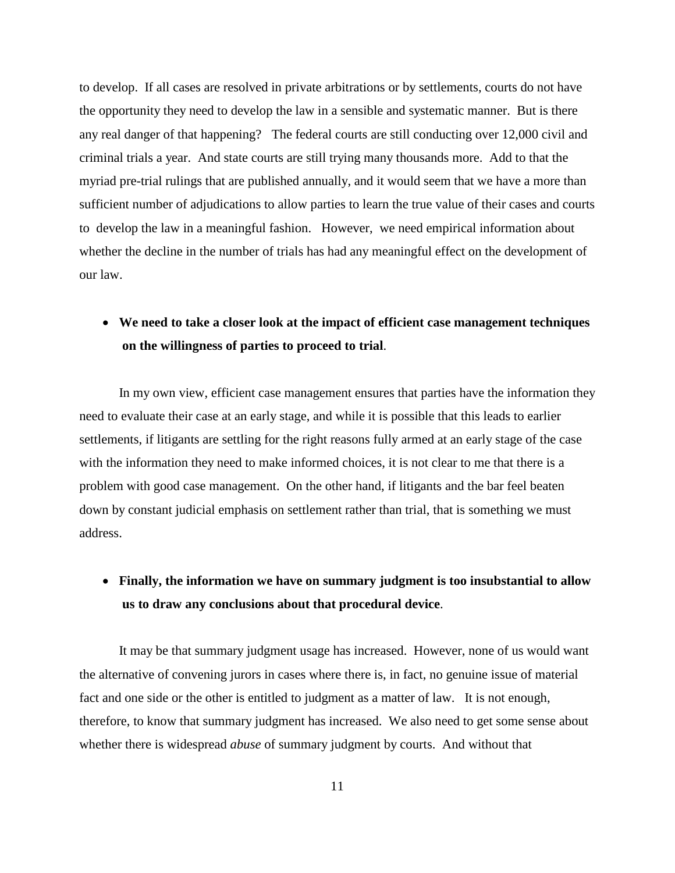to develop. If all cases are resolved in private arbitrations or by settlements, courts do not have the opportunity they need to develop the law in a sensible and systematic manner. But is there any real danger of that happening? The federal courts are still conducting over 12,000 civil and criminal trials a year. And state courts are still trying many thousands more. Add to that the myriad pre-trial rulings that are published annually, and it would seem that we have a more than sufficient number of adjudications to allow parties to learn the true value of their cases and courts to develop the law in a meaningful fashion. However, we need empirical information about whether the decline in the number of trials has had any meaningful effect on the development of our law.

## • **We need to take a closer look at the impact of efficient case management techniques on the willingness of parties to proceed to trial**.

In my own view, efficient case management ensures that parties have the information they need to evaluate their case at an early stage, and while it is possible that this leads to earlier settlements, if litigants are settling for the right reasons fully armed at an early stage of the case with the information they need to make informed choices, it is not clear to me that there is a problem with good case management. On the other hand, if litigants and the bar feel beaten down by constant judicial emphasis on settlement rather than trial, that is something we must address.

# • **Finally, the information we have on summary judgment is too insubstantial to allow us to draw any conclusions about that procedural device**.

It may be that summary judgment usage has increased. However, none of us would want the alternative of convening jurors in cases where there is, in fact, no genuine issue of material fact and one side or the other is entitled to judgment as a matter of law. It is not enough, therefore, to know that summary judgment has increased. We also need to get some sense about whether there is widespread *abuse* of summary judgment by courts. And without that